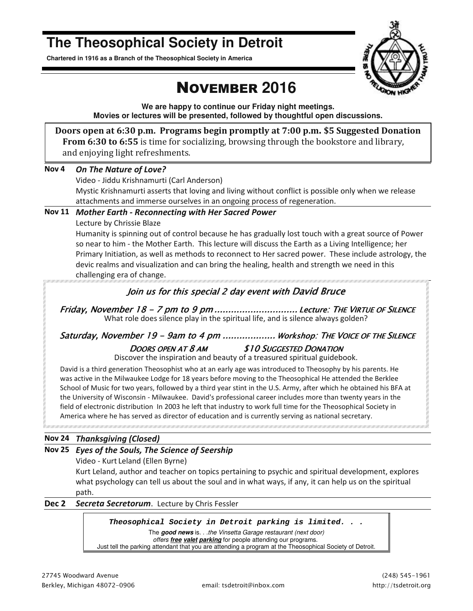# **The Theosophical Society in Detroit**

**Chartered in 1916 as a Branch of the Theosophical Society in America** 



# NOVEMBER **2016**

**We are happy to continue our Friday night meetings. Movies or lectures will be presented, followed by thoughtful open discussions.** 

**Doors open at 6:30 p.m. Programs begin promptly at 7:00 p.m. \$5 Suggested Donation From 6:30 to 6:55** is time for socializing, browsing through the bookstore and library, and enjoying light refreshments.

#### **Nov 4** *On The Nature of Love?*

Video - Jiddu Krishnamurti (Carl Anderson) Mystic Krishnamurti asserts that loving and living without conflict is possible only when we release attachments and immerse ourselves in an ongoing process of regeneration.

#### **Nov 11** *Mother Earth - Reconnecting with Her Sacred Power*

Lecture by Chrissie Blaze

Humanity is spinning out of control because he has gradually lost touch with a great source of Power so near to him - the Mother Earth. This lecture will discuss the Earth as a Living Intelligence; her Primary Initiation, as well as methods to reconnect to Her sacred power. These include astrology, the devic realms and visualization and can bring the healing, health and strength we need in this challenging era of change.

### *Join us for this special 2 day event with David Bruce*

Friday, November 18 - 7 pm to 9 pm ............................... Lecture: THE VIRTUE OF SILENCE What role does silence play in the spiritual life, and is silence always golden?

### Saturday, November 19 - 9am to 4 pm .................... Workshop: THE VOICE OF THE SILENCE *DOORS OPEN AT 8AM \$10 SUGGESTED DONATION*

Discover the inspiration and beauty of a treasured spiritual guidebook.

David is a third generation Theosophist who at an early age was introduced to Theosophy by his parents. He was active in the Milwaukee Lodge for 18 years before moving to the Theosophical He attended the Berklee School of Music for two years, followed by a third year stint in the U.S. Army, after which he obtained his BFA at the University of Wisconsin - Milwaukee. David's professional career includes more than twenty years in the field of electronic distribution In 2003 he left that industry to work full time for the Theosophical Society in America where he has served as director of education and is currently serving as national secretary.

#### **Nov 24** *Thanksgiving (Closed)*

#### **Nov 25** *Eyes of the Souls, The Science of Seership*

Video - Kurt Leland (Ellen Byrne)

Kurt Leland, author and teacher on topics pertaining to psychic and spiritual development, explores what psychology can tell us about the soul and in what ways, if any, it can help us on the spiritual path.

**Dec 2** *Secreta Secretorum*. Lecture by Chris Fessler

#### *Theosophical Society in Detroit parking is limited. . .*

The **good news** is. . .the Vinsetta Garage restaurant (next door) offers **free valet parking** for people attending our programs.